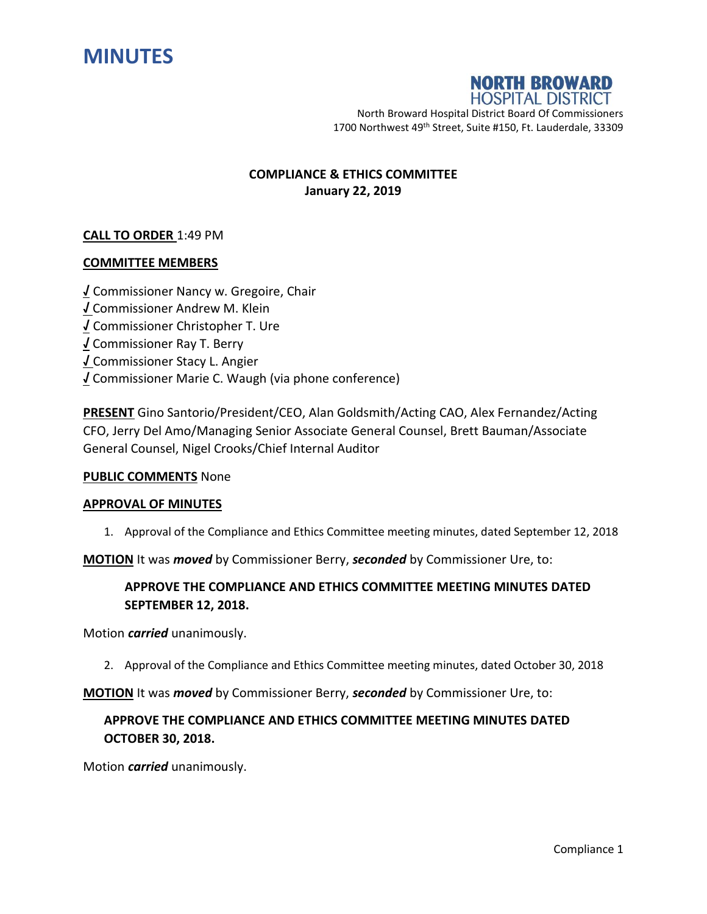



North Broward Hospital District Board Of Commissioners 1700 Northwest 49<sup>th</sup> Street, Suite #150, Ft. Lauderdale, 33309

## **COMPLIANCE & ETHICS COMMITTEE January 22, 2019**

### **CALL TO ORDER** 1:49 PM

### **COMMITTEE MEMBERS**

**√** Commissioner Nancy w. Gregoire, Chair **√** Commissioner Andrew M. Klein **√** Commissioner Christopher T. Ure **√** Commissioner Ray T. Berry **√** Commissioner Stacy L. Angier **√** Commissioner Marie C. Waugh (via phone conference)

**PRESENT** Gino Santorio/President/CEO, Alan Goldsmith/Acting CAO, Alex Fernandez/Acting CFO, Jerry Del Amo/Managing Senior Associate General Counsel, Brett Bauman/Associate General Counsel, Nigel Crooks/Chief Internal Auditor

#### **PUBLIC COMMENTS** None

#### **APPROVAL OF MINUTES**

1. Approval of the Compliance and Ethics Committee meeting minutes, dated September 12, 2018

**MOTION** It was *moved* by Commissioner Berry, *seconded* by Commissioner Ure, to:

# **APPROVE THE COMPLIANCE AND ETHICS COMMITTEE MEETING MINUTES DATED SEPTEMBER 12, 2018.**

Motion *carried* unanimously.

2. Approval of the Compliance and Ethics Committee meeting minutes, dated October 30, 2018

**MOTION** It was *moved* by Commissioner Berry, *seconded* by Commissioner Ure, to:

# **APPROVE THE COMPLIANCE AND ETHICS COMMITTEE MEETING MINUTES DATED OCTOBER 30, 2018.**

Motion *carried* unanimously.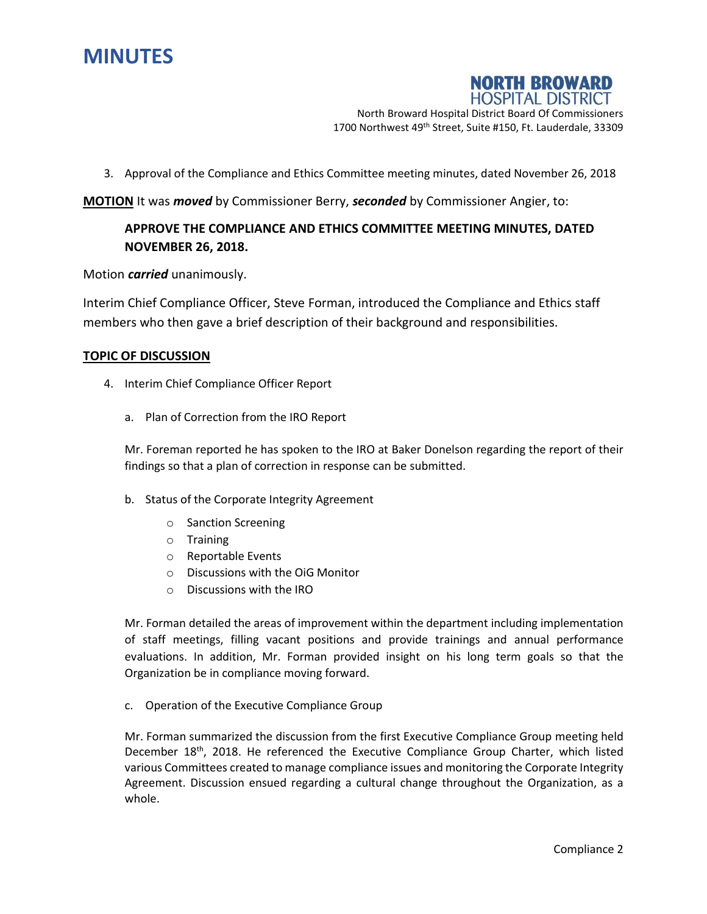



North Broward Hospital District Board Of Commissioners 1700 Northwest 49<sup>th</sup> Street, Suite #150, Ft. Lauderdale, 33309

3. Approval of the Compliance and Ethics Committee meeting minutes, dated November 26, 2018

**MOTION** It was *moved* by Commissioner Berry, *seconded* by Commissioner Angier, to:

# **APPROVE THE COMPLIANCE AND ETHICS COMMITTEE MEETING MINUTES, DATED NOVEMBER 26, 2018.**

Motion *carried* unanimously.

Interim Chief Compliance Officer, Steve Forman, introduced the Compliance and Ethics staff members who then gave a brief description of their background and responsibilities.

#### **TOPIC OF DISCUSSION**

- 4. Interim Chief Compliance Officer Report
	- a. Plan of Correction from the IRO Report

Mr. Foreman reported he has spoken to the IRO at Baker Donelson regarding the report of their findings so that a plan of correction in response can be submitted.

- b. Status of the Corporate Integrity Agreement
	- o Sanction Screening
	- o Training
	- o Reportable Events
	- o Discussions with the OiG Monitor
	- o Discussions with the IRO

Mr. Forman detailed the areas of improvement within the department including implementation of staff meetings, filling vacant positions and provide trainings and annual performance evaluations. In addition, Mr. Forman provided insight on his long term goals so that the Organization be in compliance moving forward.

c. Operation of the Executive Compliance Group

Mr. Forman summarized the discussion from the first Executive Compliance Group meeting held December 18<sup>th</sup>, 2018. He referenced the Executive Compliance Group Charter, which listed various Committees created to manage compliance issues and monitoring the Corporate Integrity Agreement. Discussion ensued regarding a cultural change throughout the Organization, as a whole.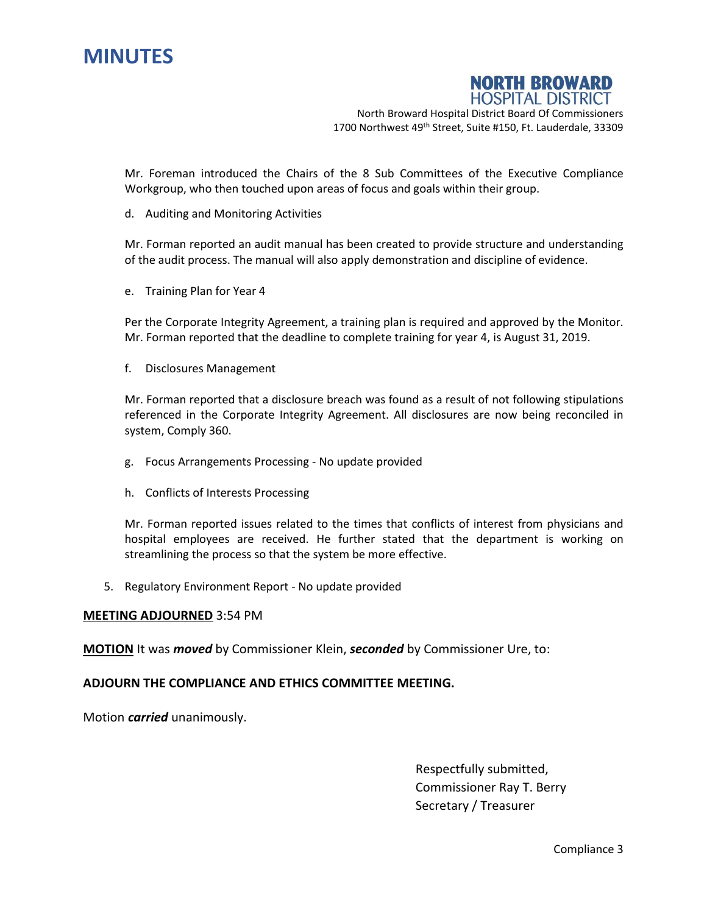

**NORTH BROWARD HOSPITAL DISTRICT** 

North Broward Hospital District Board Of Commissioners 1700 Northwest 49<sup>th</sup> Street, Suite #150, Ft. Lauderdale, 33309

Mr. Foreman introduced the Chairs of the 8 Sub Committees of the Executive Compliance Workgroup, who then touched upon areas of focus and goals within their group.

d. Auditing and Monitoring Activities

Mr. Forman reported an audit manual has been created to provide structure and understanding of the audit process. The manual will also apply demonstration and discipline of evidence.

e. Training Plan for Year 4

Per the Corporate Integrity Agreement, a training plan is required and approved by the Monitor. Mr. Forman reported that the deadline to complete training for year 4, is August 31, 2019.

f. Disclosures Management

Mr. Forman reported that a disclosure breach was found as a result of not following stipulations referenced in the Corporate Integrity Agreement. All disclosures are now being reconciled in system, Comply 360.

- g. Focus Arrangements Processing No update provided
- h. Conflicts of Interests Processing

Mr. Forman reported issues related to the times that conflicts of interest from physicians and hospital employees are received. He further stated that the department is working on streamlining the process so that the system be more effective.

5. Regulatory Environment Report - No update provided

#### **MEETING ADJOURNED** 3:54 PM

**MOTION** It was *moved* by Commissioner Klein, *seconded* by Commissioner Ure, to:

### **ADJOURN THE COMPLIANCE AND ETHICS COMMITTEE MEETING.**

Motion *carried* unanimously.

Respectfully submitted, Commissioner Ray T. Berry Secretary / Treasurer